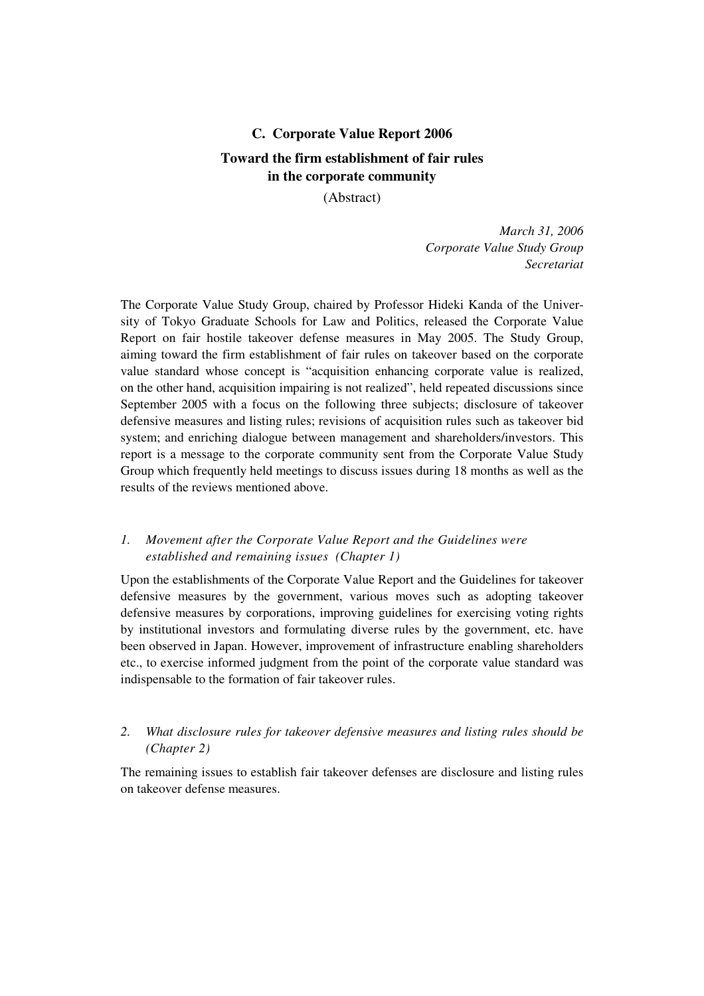# **C. Corporate Value Report 2006 Toward the firm establishment of fair rules in the corporate community**

## (Abstract)

*March 31, 2006 Corporate Value Study Group Secretariat*

The Corporate Value Study Group, chaired by Professor Hideki Kanda of the University of Tokyo Graduate Schools for Law and Politics, released the Corporate Value Report on fair hostile takeover defense measures in May 2005. The Study Group, aiming toward the firm establishment of fair rules on takeover based on the corporate value standard whose concept is "acquisition enhancing corporate value is realized, on the other hand, acquisition impairing is not realized", held repeated discussions since September 2005 with a focus on the following three subjects; disclosure of takeover defensive measures and listing rules; revisions of acquisition rules such as takeover bid system; and enriching dialogue between management and shareholders/investors. This report is a message to the corporate community sent from the Corporate Value Study Group which frequently held meetings to discuss issues during 18 months as well as the results of the reviews mentioned above.

# *1. Movement after the Corporate Value Report and the Guidelines were established and remaining issues (Chapter 1)*

Upon the establishments of the Corporate Value Report and the Guidelines for takeover defensive measures by the government, various moves such as adopting takeover defensive measures by corporations, improving guidelines for exercising voting rights by institutional investors and formulating diverse rules by the government, etc. have been observed in Japan. However, improvement of infrastructure enabling shareholders etc., to exercise informed judgment from the point of the corporate value standard was indispensable to the formation of fair takeover rules.

# *2. What disclosure rules for takeover defensive measures and listing rules should be (Chapter 2)*

The remaining issues to establish fair takeover defenses are disclosure and listing rules on takeover defense measures.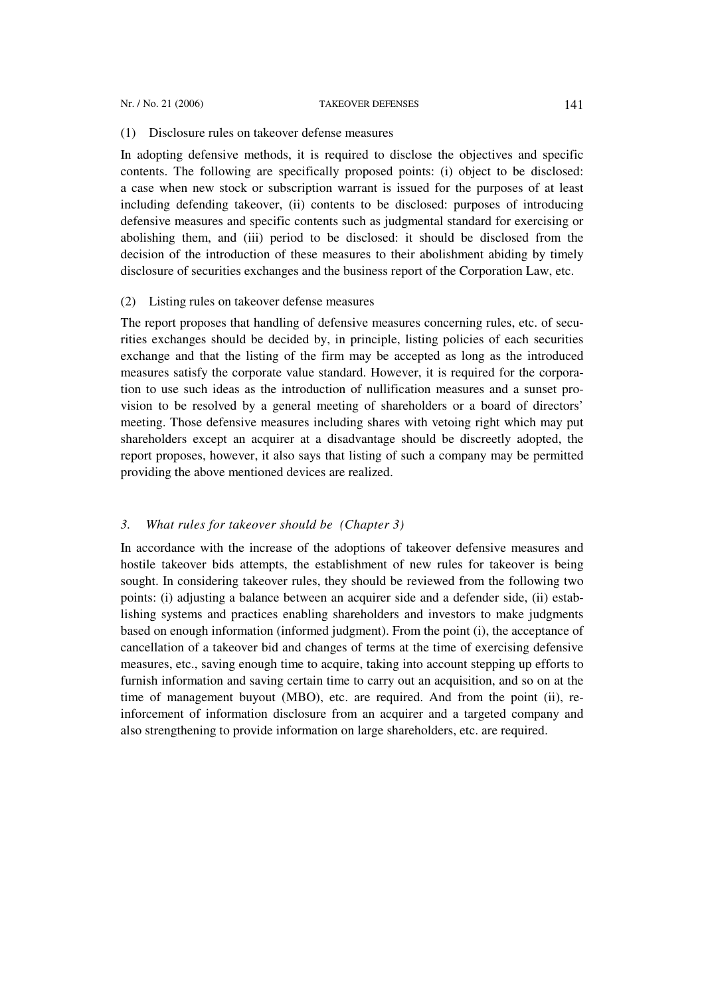#### Nr. / No. 21 (2006) TAKEOVER DEFENSES 141

#### (1) Disclosure rules on takeover defense measures

In adopting defensive methods, it is required to disclose the objectives and specific contents. The following are specifically proposed points: (i) object to be disclosed: a case when new stock or subscription warrant is issued for the purposes of at least including defending takeover, (ii) contents to be disclosed: purposes of introducing defensive measures and specific contents such as judgmental standard for exercising or abolishing them, and (iii) period to be disclosed: it should be disclosed from the decision of the introduction of these measures to their abolishment abiding by timely disclosure of securities exchanges and the business report of the Corporation Law, etc.

#### (2) Listing rules on takeover defense measures

The report proposes that handling of defensive measures concerning rules, etc. of securities exchanges should be decided by, in principle, listing policies of each securities exchange and that the listing of the firm may be accepted as long as the introduced measures satisfy the corporate value standard. However, it is required for the corporation to use such ideas as the introduction of nullification measures and a sunset provision to be resolved by a general meeting of shareholders or a board of directors' meeting. Those defensive measures including shares with vetoing right which may put shareholders except an acquirer at a disadvantage should be discreetly adopted, the report proposes, however, it also says that listing of such a company may be permitted providing the above mentioned devices are realized.

### *3. What rules for takeover should be (Chapter 3)*

In accordance with the increase of the adoptions of takeover defensive measures and hostile takeover bids attempts, the establishment of new rules for takeover is being sought. In considering takeover rules, they should be reviewed from the following two points: (i) adjusting a balance between an acquirer side and a defender side, (ii) establishing systems and practices enabling shareholders and investors to make judgments based on enough information (informed judgment). From the point (i), the acceptance of cancellation of a takeover bid and changes of terms at the time of exercising defensive measures, etc., saving enough time to acquire, taking into account stepping up efforts to furnish information and saving certain time to carry out an acquisition, and so on at the time of management buyout (MBO), etc. are required. And from the point (ii), reinforcement of information disclosure from an acquirer and a targeted company and also strengthening to provide information on large shareholders, etc. are required.